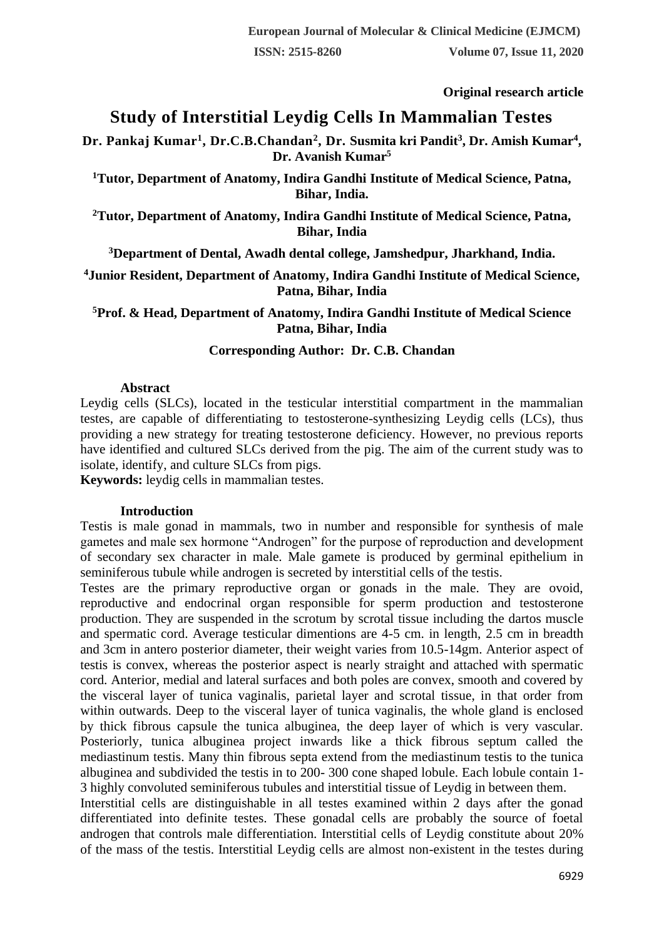**Original research article** 

# **Study of Interstitial Leydig Cells In Mammalian Testes**

**Dr. Pankaj Kumar<sup>1</sup> , Dr.C.B.Chandan<sup>2</sup> , Dr. Susmita kri Pandit<sup>3</sup> , Dr. Amish Kumar<sup>4</sup> , Dr. Avanish Kumar<sup>5</sup>**

**<sup>1</sup>Tutor, Department of Anatomy, Indira Gandhi Institute of Medical Science, Patna, Bihar, India.**

**<sup>2</sup>Tutor, Department of Anatomy, Indira Gandhi Institute of Medical Science, Patna, Bihar, India**

**<sup>3</sup>Department of Dental, Awadh dental college, Jamshedpur, Jharkhand, India.**

**<sup>4</sup>Junior Resident, Department of Anatomy, Indira Gandhi Institute of Medical Science, Patna, Bihar, India**

**<sup>5</sup>Prof. & Head, Department of Anatomy, Indira Gandhi Institute of Medical Science Patna, Bihar, India**

# **Corresponding Author: Dr. C.B. Chandan**

## **Abstract**

Leydig cells (SLCs), located in the testicular interstitial compartment in the mammalian testes, are capable of differentiating to testosterone-synthesizing Leydig cells (LCs), thus providing a new strategy for treating testosterone deficiency. However, no previous reports have identified and cultured SLCs derived from the pig. The aim of the current study was to isolate, identify, and culture SLCs from pigs.

**Keywords:** leydig cells in mammalian testes.

## **Introduction**

Testis is male gonad in mammals, two in number and responsible for synthesis of male gametes and male sex hormone "Androgen" for the purpose of reproduction and development of secondary sex character in male. Male gamete is produced by germinal epithelium in seminiferous tubule while androgen is secreted by interstitial cells of the testis.

Testes are the primary reproductive organ or gonads in the male. They are ovoid, reproductive and endocrinal organ responsible for sperm production and testosterone production. They are suspended in the scrotum by scrotal tissue including the dartos muscle and spermatic cord. Average testicular dimentions are 4-5 cm. in length, 2.5 cm in breadth and 3cm in antero posterior diameter, their weight varies from 10.5-14gm. Anterior aspect of testis is convex, whereas the posterior aspect is nearly straight and attached with spermatic cord. Anterior, medial and lateral surfaces and both poles are convex, smooth and covered by the visceral layer of tunica vaginalis, parietal layer and scrotal tissue, in that order from within outwards. Deep to the visceral layer of tunica vaginalis, the whole gland is enclosed by thick fibrous capsule the tunica albuginea, the deep layer of which is very vascular. Posteriorly, tunica albuginea project inwards like a thick fibrous septum called the mediastinum testis. Many thin fibrous septa extend from the mediastinum testis to the tunica albuginea and subdivided the testis in to 200- 300 cone shaped lobule. Each lobule contain 1- 3 highly convoluted seminiferous tubules and interstitial tissue of Leydig in between them.

Interstitial cells are distinguishable in all testes examined within 2 days after the gonad differentiated into definite testes. These gonadal cells are probably the source of foetal androgen that controls male differentiation. Interstitial cells of Leydig constitute about 20% of the mass of the testis. Interstitial Leydig cells are almost non-existent in the testes during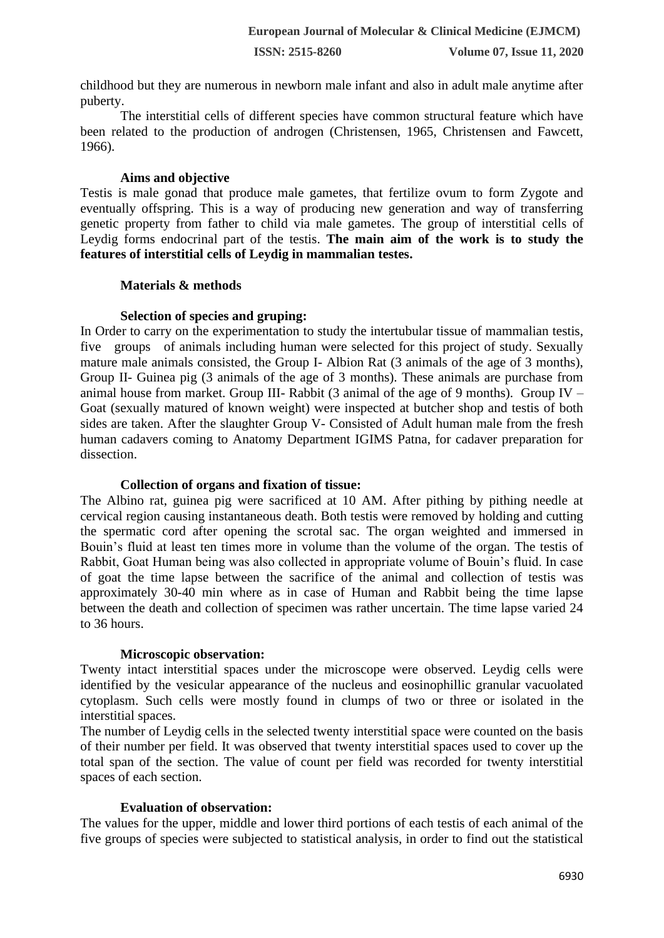childhood but they are numerous in newborn male infant and also in adult male anytime after puberty.

The interstitial cells of different species have common structural feature which have been related to the production of androgen (Christensen, 1965, Christensen and Fawcett, 1966).

#### **Aims and objective**

Testis is male gonad that produce male gametes, that fertilize ovum to form Zygote and eventually offspring. This is a way of producing new generation and way of transferring genetic property from father to child via male gametes. The group of interstitial cells of Leydig forms endocrinal part of the testis. **The main aim of the work is to study the features of interstitial cells of Leydig in mammalian testes.**

## **Materials & methods**

## **Selection of species and gruping:**

In Order to carry on the experimentation to study the intertubular tissue of mammalian testis, five groups of animals including human were selected for this project of study. Sexually mature male animals consisted, the Group I- Albion Rat (3 animals of the age of 3 months), Group II- Guinea pig (3 animals of the age of 3 months). These animals are purchase from animal house from market. Group III- Rabbit  $(3 \text{ animal of the age of } 9 \text{ months})$ . Group IV – Goat (sexually matured of known weight) were inspected at butcher shop and testis of both sides are taken. After the slaughter Group V- Consisted of Adult human male from the fresh human cadavers coming to Anatomy Department IGIMS Patna, for cadaver preparation for dissection.

## **Collection of organs and fixation of tissue:**

The Albino rat, guinea pig were sacrificed at 10 AM. After pithing by pithing needle at cervical region causing instantaneous death. Both testis were removed by holding and cutting the spermatic cord after opening the scrotal sac. The organ weighted and immersed in Bouin's fluid at least ten times more in volume than the volume of the organ. The testis of Rabbit, Goat Human being was also collected in appropriate volume of Bouin's fluid. In case of goat the time lapse between the sacrifice of the animal and collection of testis was approximately 30-40 min where as in case of Human and Rabbit being the time lapse between the death and collection of specimen was rather uncertain. The time lapse varied 24 to 36 hours.

#### **Microscopic observation:**

Twenty intact interstitial spaces under the microscope were observed. Leydig cells were identified by the vesicular appearance of the nucleus and eosinophillic granular vacuolated cytoplasm. Such cells were mostly found in clumps of two or three or isolated in the interstitial spaces.

The number of Leydig cells in the selected twenty interstitial space were counted on the basis of their number per field. It was observed that twenty interstitial spaces used to cover up the total span of the section. The value of count per field was recorded for twenty interstitial spaces of each section.

## **Evaluation of observation:**

The values for the upper, middle and lower third portions of each testis of each animal of the five groups of species were subjected to statistical analysis, in order to find out the statistical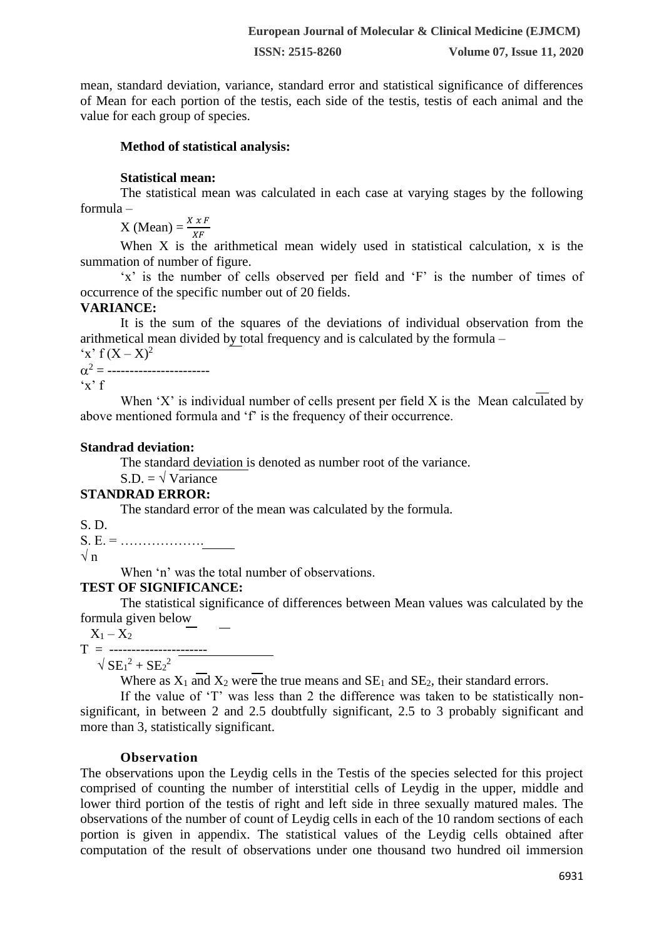**ISSN: 2515-8260 Volume 07, Issue 11, 2020**

mean, standard deviation, variance, standard error and statistical significance of differences of Mean for each portion of the testis, each side of the testis, testis of each animal and the value for each group of species.

#### **Method of statistical analysis:**

#### **Statistical mean:**

The statistical mean was calculated in each case at varying stages by the following formula –

 $X \text{ (Mean)} = \frac{X \times F}{XF}$ 

When X is the arithmetical mean widely used in statistical calculation, x is the summation of number of figure.

'x' is the number of cells observed per field and 'F' is the number of times of occurrence of the specific number out of 20 fields.

## **VARIANCE:**

It is the sum of the squares of the deviations of individual observation from the arithmetical mean divided by total frequency and is calculated by the formula –

 $\mathbf{x}' \cdot \mathbf{f} (\mathbf{X} - \mathbf{X})^2$  $\alpha^2$  = ------------------------

 $\cdot$ x' f

When 'X' is individual number of cells present per field  $X$  is the Mean calculated by above mentioned formula and 'f' is the frequency of their occurrence.

#### **Standrad deviation:**

The standard deviation is denoted as number root of the variance.

 $S.D. = \sqrt{Variance}$ 

## **STANDRAD ERROR:**

The standard error of the mean was calculated by the formula.

S. D.

S. E. = ……………….

 $\sqrt{n}$ 

When 'n' was the total number of observations.

## **TEST OF SIGNIFICANCE:**

The statistical significance of differences between Mean values was calculated by the formula given below

 $X_1 - X_2$ 

T = ---------------<u>-------</u>

 $\sqrt{\text{SE}_1^2 + \text{SE}_2^2}$ 

Where as  $X_1$  and  $X_2$  were the true means and  $SE_1$  and  $SE_2$ , their standard errors.

If the value of 'T' was less than 2 the difference was taken to be statistically nonsignificant, in between 2 and 2.5 doubtfully significant, 2.5 to 3 probably significant and more than 3, statistically significant.

## **Observation**

The observations upon the Leydig cells in the Testis of the species selected for this project comprised of counting the number of interstitial cells of Leydig in the upper, middle and lower third portion of the testis of right and left side in three sexually matured males. The observations of the number of count of Leydig cells in each of the 10 random sections of each portion is given in appendix. The statistical values of the Leydig cells obtained after computation of the result of observations under one thousand two hundred oil immersion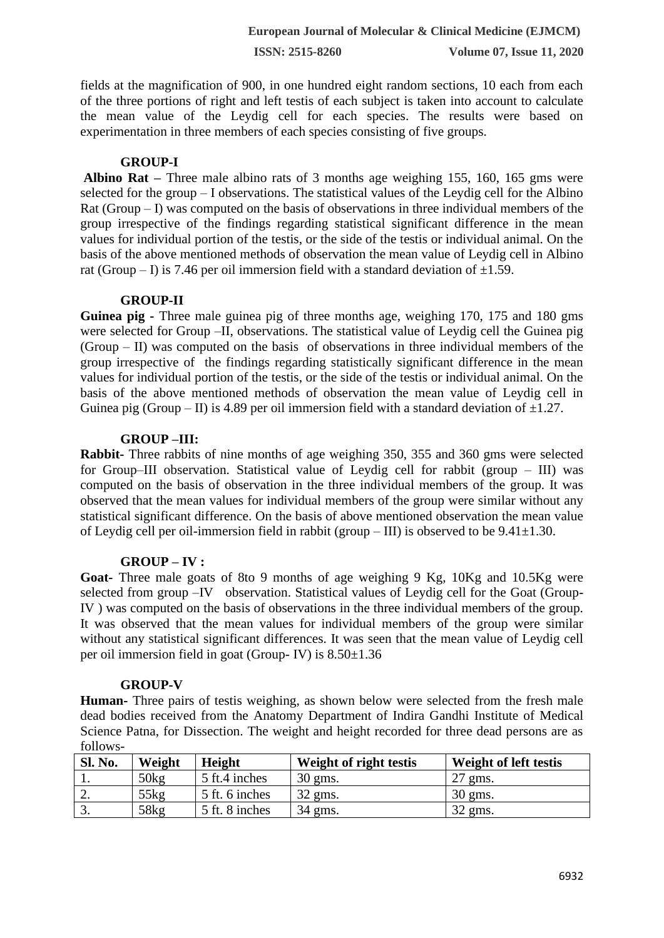**ISSN: 2515-8260 Volume 07, Issue 11, 2020**

fields at the magnification of 900, in one hundred eight random sections, 10 each from each of the three portions of right and left testis of each subject is taken into account to calculate the mean value of the Leydig cell for each species. The results were based on experimentation in three members of each species consisting of five groups.

## **GROUP-I**

**Albino Rat –** Three male albino rats of 3 months age weighing 155, 160, 165 gms were selected for the group – I observations. The statistical values of the Leydig cell for the Albino Rat (Group  $- I$ ) was computed on the basis of observations in three individual members of the group irrespective of the findings regarding statistical significant difference in the mean values for individual portion of the testis, or the side of the testis or individual animal. On the basis of the above mentioned methods of observation the mean value of Leydig cell in Albino rat (Group – I) is 7.46 per oil immersion field with a standard deviation of  $\pm 1.59$ .

# **GROUP-II**

**Guinea pig -** Three male guinea pig of three months age, weighing 170, 175 and 180 gms were selected for Group –II, observations. The statistical value of Leydig cell the Guinea pig (Group – II) was computed on the basis of observations in three individual members of the group irrespective of the findings regarding statistically significant difference in the mean values for individual portion of the testis, or the side of the testis or individual animal. On the basis of the above mentioned methods of observation the mean value of Leydig cell in Guinea pig (Group – II) is 4.89 per oil immersion field with a standard deviation of  $\pm 1.27$ .

## **GROUP –III:**

**Rabbit-** Three rabbits of nine months of age weighing 350, 355 and 360 gms were selected for Group–III observation. Statistical value of Leydig cell for rabbit (group – III) was computed on the basis of observation in the three individual members of the group. It was observed that the mean values for individual members of the group were similar without any statistical significant difference. On the basis of above mentioned observation the mean value of Leydig cell per oil-immersion field in rabbit (group – III) is observed to be  $9.41 \pm 1.30$ .

## **GROUP – IV :**

**Goat-** Three male goats of 8to 9 months of age weighing 9 Kg, 10Kg and 10.5Kg were selected from group –IV observation. Statistical values of Leydig cell for the Goat (Group-IV ) was computed on the basis of observations in the three individual members of the group. It was observed that the mean values for individual members of the group were similar without any statistical significant differences. It was seen that the mean value of Leydig cell per oil immersion field in goat (Group- IV) is 8.50±1.36

## **GROUP-V**

**Human-** Three pairs of testis weighing, as shown below were selected from the fresh male dead bodies received from the Anatomy Department of Indira Gandhi Institute of Medical Science Patna, for Dissection. The weight and height recorded for three dead persons are as follows-

| <b>Sl. No.</b> | Weight | <b>Height</b>  | Weight of right testis | Weight of left testis |
|----------------|--------|----------------|------------------------|-----------------------|
|                | 50kg   | 5 ft.4 inches  | $30 \text{ gms}.$      | $27$ gms.             |
| ٠.             | 55kg   | 5 ft. 6 inches | $32$ gms.              | 30 gms.               |
|                | 58kg   | 5 ft. 8 inches | 34 gms.                | $32$ gms.             |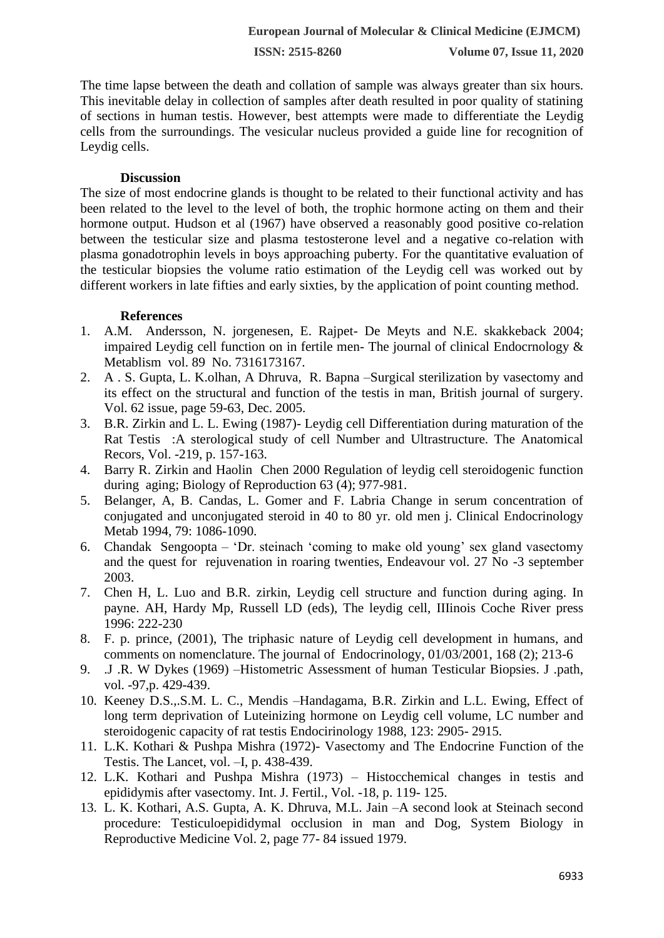The time lapse between the death and collation of sample was always greater than six hours. This inevitable delay in collection of samples after death resulted in poor quality of statining of sections in human testis. However, best attempts were made to differentiate the Leydig cells from the surroundings. The vesicular nucleus provided a guide line for recognition of Leydig cells.

#### **Discussion**

The size of most endocrine glands is thought to be related to their functional activity and has been related to the level to the level of both, the trophic hormone acting on them and their hormone output. Hudson et al (1967) have observed a reasonably good positive co-relation between the testicular size and plasma testosterone level and a negative co-relation with plasma gonadotrophin levels in boys approaching puberty. For the quantitative evaluation of the testicular biopsies the volume ratio estimation of the Leydig cell was worked out by different workers in late fifties and early sixties, by the application of point counting method.

## **References**

- 1. A.M. Andersson, N. jorgenesen, E. Rajpet- De Meyts and N.E. skakkeback 2004; impaired Leydig cell function on in fertile men- The journal of clinical Endocrnology & Metablism vol. 89 No. 7316173167.
- 2. A . S. Gupta, L. K.olhan, A Dhruva, R. Bapna –Surgical sterilization by vasectomy and its effect on the structural and function of the testis in man, British journal of surgery. Vol. 62 issue, page 59-63, Dec. 2005.
- 3. B.R. Zirkin and L. L. Ewing (1987)- Leydig cell Differentiation during maturation of the Rat Testis :A sterological study of cell Number and Ultrastructure. The Anatomical Recors, Vol. -219, p. 157-163.
- 4. Barry R. Zirkin and Haolin Chen 2000 Regulation of leydig cell steroidogenic function during aging; Biology of Reproduction 63 (4); 977-981.
- 5. Belanger, A, B. Candas, L. Gomer and F. Labria Change in serum concentration of conjugated and unconjugated steroid in 40 to 80 yr. old men j. Clinical Endocrinology Metab 1994, 79: 1086-1090.
- 6. Chandak Sengoopta 'Dr. steinach 'coming to make old young' sex gland vasectomy and the quest for rejuvenation in roaring twenties, Endeavour vol. 27 No -3 september 2003.
- 7. Chen H, L. Luo and B.R. zirkin, Leydig cell structure and function during aging. In payne. AH, Hardy Mp, Russell LD (eds), The leydig cell, IIIinois Coche River press 1996: 222-230
- 8. F. p. prince, (2001), The triphasic nature of Leydig cell development in humans, and comments on nomenclature. The journal of Endocrinology, 01/03/2001, 168 (2); 213-6
- 9. .J .R. W Dykes (1969) –Histometric Assessment of human Testicular Biopsies. J .path, vol. -97,p. 429-439.
- 10. Keeney D.S.,.S.M. L. C., Mendis –Handagama, B.R. Zirkin and L.L. Ewing, Effect of long term deprivation of Luteinizing hormone on Leydig cell volume, LC number and steroidogenic capacity of rat testis Endocirinology 1988, 123: 2905- 2915.
- 11. L.K. Kothari & Pushpa Mishra (1972)- Vasectomy and The Endocrine Function of the Testis. The Lancet, vol. –I, p. 438-439.
- 12. L.K. Kothari and Pushpa Mishra (1973) Histocchemical changes in testis and epididymis after vasectomy. Int. J. Fertil., Vol. -18, p. 119- 125.
- 13. L. K. Kothari, A.S. Gupta, A. K. Dhruva, M.L. Jain –A second look at Steinach second procedure: Testiculoepididymal occlusion in man and Dog, System Biology in Reproductive Medicine Vol. 2, page 77- 84 issued 1979.